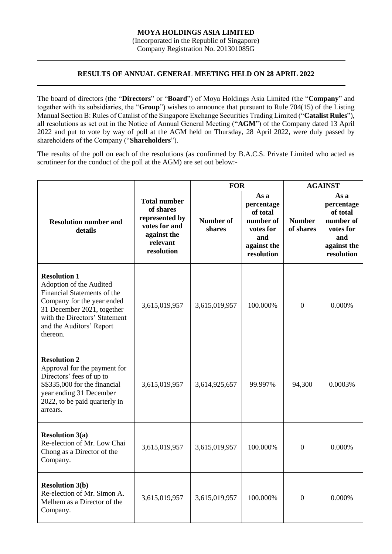Company Registration No. 201301085G

## **RESULTS OF ANNUAL GENERAL MEETING HELD ON 28 APRIL 2022**

The board of directors (the "**Directors**" or "**Board**") of Moya Holdings Asia Limited (the "**Company**" and together with its subsidiaries, the "**Group**") wishes to announce that pursuant to Rule 704(15) of the Listing Manual Section B: Rules of Catalist of the Singapore Exchange Securities Trading Limited ("**Catalist Rules**"), all resolutions as set out in the Notice of Annual General Meeting ("**AGM**") of the Company dated 13 April 2022 and put to vote by way of poll at the AGM held on Thursday, 28 April 2022, were duly passed by shareholders of the Company ("**Shareholders**").

The results of the poll on each of the resolutions (as confirmed by B.A.C.S. Private Limited who acted as scrutineer for the conduct of the poll at the AGM) are set out below:-

|                                                                                                                                                                                                                    |                                                                                                              | <b>FOR</b>                 |                                                                                              | <b>AGAINST</b>             |                                                                                              |
|--------------------------------------------------------------------------------------------------------------------------------------------------------------------------------------------------------------------|--------------------------------------------------------------------------------------------------------------|----------------------------|----------------------------------------------------------------------------------------------|----------------------------|----------------------------------------------------------------------------------------------|
| <b>Resolution number and</b><br>details                                                                                                                                                                            | <b>Total number</b><br>of shares<br>represented by<br>votes for and<br>against the<br>relevant<br>resolution | <b>Number of</b><br>shares | As a<br>percentage<br>of total<br>number of<br>votes for<br>and<br>against the<br>resolution | <b>Number</b><br>of shares | As a<br>percentage<br>of total<br>number of<br>votes for<br>and<br>against the<br>resolution |
| <b>Resolution 1</b><br>Adoption of the Audited<br>Financial Statements of the<br>Company for the year ended<br>31 December 2021, together<br>with the Directors' Statement<br>and the Auditors' Report<br>thereon. | 3,615,019,957                                                                                                | 3,615,019,957              | 100.000%                                                                                     | $\overline{0}$             | 0.000%                                                                                       |
| <b>Resolution 2</b><br>Approval for the payment for<br>Directors' fees of up to<br>S\$335,000 for the financial<br>year ending 31 December<br>2022, to be paid quarterly in<br>arrears.                            | 3,615,019,957                                                                                                | 3,614,925,657              | 99.997%                                                                                      | 94,300                     | 0.0003%                                                                                      |
| <b>Resolution 3(a)</b><br>Re-election of Mr. Low Chai<br>Chong as a Director of the<br>Company.                                                                                                                    | 3,615,019,957                                                                                                | 3,615,019,957              | 100.000%                                                                                     | $\overline{0}$             | 0.000%                                                                                       |
| <b>Resolution 3(b)</b><br>Re-election of Mr. Simon A.<br>Melhem as a Director of the<br>Company.                                                                                                                   | 3,615,019,957                                                                                                | 3,615,019,957              | 100.000%                                                                                     | $\Omega$                   | 0.000%                                                                                       |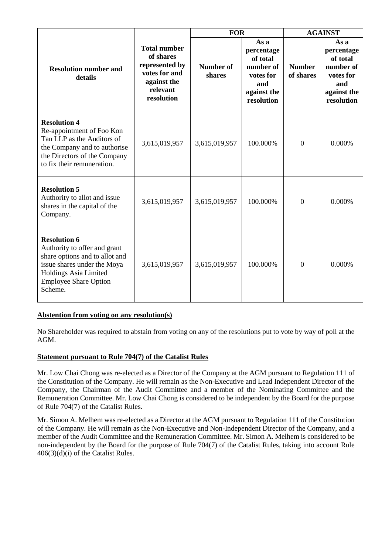|                                                                                                                                                                                          |                                                                                                              | <b>FOR</b>          |                                                                                              | <b>AGAINST</b>             |                                                                                              |
|------------------------------------------------------------------------------------------------------------------------------------------------------------------------------------------|--------------------------------------------------------------------------------------------------------------|---------------------|----------------------------------------------------------------------------------------------|----------------------------|----------------------------------------------------------------------------------------------|
| <b>Resolution number and</b><br>details                                                                                                                                                  | <b>Total number</b><br>of shares<br>represented by<br>votes for and<br>against the<br>relevant<br>resolution | Number of<br>shares | As a<br>percentage<br>of total<br>number of<br>votes for<br>and<br>against the<br>resolution | <b>Number</b><br>of shares | As a<br>percentage<br>of total<br>number of<br>votes for<br>and<br>against the<br>resolution |
| <b>Resolution 4</b><br>Re-appointment of Foo Kon<br>Tan LLP as the Auditors of<br>the Company and to authorise<br>the Directors of the Company<br>to fix their remuneration.             | 3,615,019,957                                                                                                | 3,615,019,957       | 100.000%                                                                                     | $\overline{0}$             | 0.000%                                                                                       |
| <b>Resolution 5</b><br>Authority to allot and issue<br>shares in the capital of the<br>Company.                                                                                          | 3,615,019,957                                                                                                | 3,615,019,957       | 100.000%                                                                                     | $\boldsymbol{0}$           | 0.000%                                                                                       |
| <b>Resolution 6</b><br>Authority to offer and grant<br>share options and to allot and<br>issue shares under the Moya<br>Holdings Asia Limited<br><b>Employee Share Option</b><br>Scheme. | 3,615,019,957                                                                                                | 3,615,019,957       | 100.000%                                                                                     | $\overline{0}$             | 0.000%                                                                                       |

## **Abstention from voting on any resolution(s)**

No Shareholder was required to abstain from voting on any of the resolutions put to vote by way of poll at the AGM.

## **Statement pursuant to Rule 704(7) of the Catalist Rules**

Mr. Low Chai Chong was re-elected as a Director of the Company at the AGM pursuant to Regulation 111 of the Constitution of the Company. He will remain as the Non-Executive and Lead Independent Director of the Company, the Chairman of the Audit Committee and a member of the Nominating Committee and the Remuneration Committee. Mr. Low Chai Chong is considered to be independent by the Board for the purpose of Rule 704(7) of the Catalist Rules.

Mr. Simon A. Melhem was re-elected as a Director at the AGM pursuant to Regulation 111 of the Constitution of the Company. He will remain as the Non-Executive and Non-Independent Director of the Company, and a member of the Audit Committee and the Remuneration Committee. Mr. Simon A. Melhem is considered to be non-independent by the Board for the purpose of Rule 704(7) of the Catalist Rules, taking into account Rule 406(3)(d)(i) of the Catalist Rules.